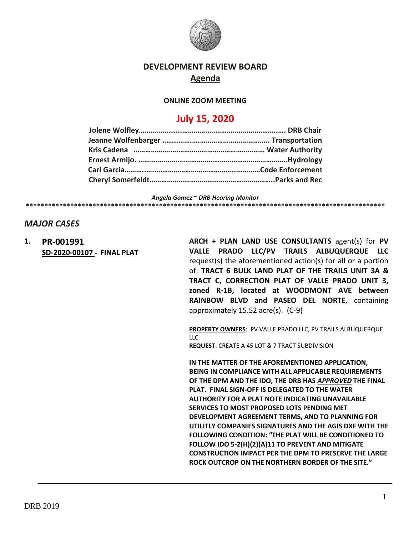

## **DEVELOPMENT REVIEW BOARD Agenda**

### **ONLINE ZOOM MEETING**

# **July 15, 2020**

*Angela Gomez ~ DRB Hearing Monitor* **\*\*\*\*\*\*\*\*\*\*\*\*\*\*\*\*\*\*\*\*\*\*\*\*\*\*\*\*\*\*\*\*\*\*\*\*\*\*\*\*\*\*\*\*\*\*\*\*\*\*\*\*\*\*\*\*\*\*\*\*\*\*\*\*\*\*\*\*\*\*\*\*\*\*\*\*\*\*\*\*\*\*\*\*\*\*\*\*\*\*\*\*\*\*\*\*\***

## *MAJOR CASES*

**1. PR-001991 SD-2020-00107 - FINAL PLAT** **ARCH + PLAN LAND USE CONSULTANTS** agent(s) for **PV VALLE PRADO LLC/PV TRAILS ALBUQUERQUE LLC**  request(s) the aforementioned action(s) for all or a portion of: **TRACT 6 BULK LAND PLAT OF THE TRAILS UNIT 3A & TRACT C, CORRECTION PLAT OF VALLE PRADO UNIT 3, zoned R-1B, located at WOODMONT AVE between RAINBOW BLVD and PASEO DEL NORTE**, containing approximately 15.52 acre(s). (C-9)

**PROPERTY OWNERS**: PV VALLE PRADO LLC, PV TRAILS ALBUQUERQUE  $\overline{11}$ **REQUEST**: CREATE A 45 LOT & 7 TRACT SUBDIVISION

**IN THE MATTER OF THE AFOREMENTIONED APPLICATION, BEING IN COMPLIANCE WITH ALL APPLICABLE REQUIREMENTS OF THE DPM AND THE IDO, THE DRB HAS** *APPROVED* **THE FINAL PLAT. FINAL SIGN-OFF IS DELEGATED TO THE WATER AUTHORITY FOR A PLAT NOTE INDICATING UNAVAILABLE SERVICES TO MOST PROPOSED LOTS PENDING MET DEVELOPMENT AGREEMENT TERMS, AND TO PLANNING FOR UTILITLY COMPANIES SIGNATURES AND THE AGIS DXF WITH THE FOLLOWING CONDITION: "THE PLAT WILL BE CONDITIONED TO FOLLOW IDO 5-2(H)(2)(A)11 TO PREVENT AND MITIGATE CONSTRUCTION IMPACT PER THE DPM TO PRESERVE THE LARGE ROCK OUTCROP ON THE NORTHERN BORDER OF THE SITE."**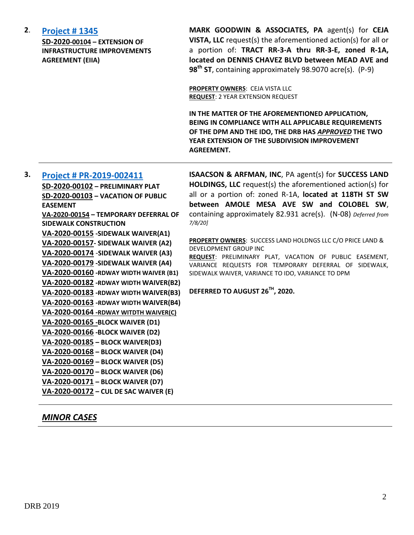| 2. | <b>Project #1345</b><br>SD-2020-00104 - EXTENSION OF<br><b>INFRASTRUCTURE IMPROVEMENTS</b><br><b>AGREEMENT (EIIA)</b> | MARK GOODWIN & ASSOCIATES, PA agent(s) for CEJA<br>VISTA, LLC request(s) the aforementioned action(s) for all or<br>a portion of: TRACT RR-3-A thru RR-3-E, zoned R-1A,<br>located on DENNIS CHAVEZ BLVD between MEAD AVE and<br>98 <sup>th</sup> ST, containing approximately 98.9070 acre(s). (P-9) |
|----|-----------------------------------------------------------------------------------------------------------------------|-------------------------------------------------------------------------------------------------------------------------------------------------------------------------------------------------------------------------------------------------------------------------------------------------------|
|    |                                                                                                                       | <b>PROPERTY OWNERS: CEJA VISTA LLC</b><br><b>REQUEST: 2 YEAR EXTENSION REQUEST</b>                                                                                                                                                                                                                    |
|    |                                                                                                                       | IN THE MATTER OF THE AFOREMENTIONED APPLICATION,<br>BEING IN COMPLIANCE WITH ALL APPLICABLE REQUIREMENTS<br>OF THE DPM AND THE IDO, THE DRB HAS APPROVED THE TWO<br>YEAR EXTENSION OF THE SUBDIVISION IMPROVEMENT<br><b>AGREEMENT.</b>                                                                |
| 3. |                                                                                                                       | ISAACSON & ARFMAN, INC, PA agent(s) for SUCCESS LAND                                                                                                                                                                                                                                                  |
|    | Project # PR-2019-002411<br>SD-2020-00102 - PRELIMINARY PLAT                                                          | <b>HOLDINGS, LLC</b> request(s) the aforementioned action(s) for                                                                                                                                                                                                                                      |
|    | SD-2020-00103 - VACATION OF PUBLIC                                                                                    | all or a portion of: zoned R-1A, located at 118TH ST SW                                                                                                                                                                                                                                               |
|    | <b>EASEMENT</b>                                                                                                       | between AMOLE MESA AVE SW and COLOBEL SW,                                                                                                                                                                                                                                                             |
|    | VA-2020-00154 - TEMPORARY DEFERRAL OF                                                                                 | containing approximately 82.931 acre(s). (N-08) Deferred from                                                                                                                                                                                                                                         |
|    | <b>SIDEWALK CONSTRUCTION</b>                                                                                          | 7/8/20                                                                                                                                                                                                                                                                                                |
|    | VA-2020-00155 - SIDEWALK WAIVER(A1)                                                                                   |                                                                                                                                                                                                                                                                                                       |
|    | VA-2020-00157- SIDEWALK WAIVER (A2)                                                                                   | PROPERTY OWNERS: SUCCESS LAND HOLDNGS LLC C/O PRICE LAND &                                                                                                                                                                                                                                            |
|    | VA-2020-00174 - SIDEWALK WAIVER (A3)                                                                                  | DEVELOPMENT GROUP INC<br>REQUEST: PRELIMINARY PLAT, VACATION OF PUBLIC EASEMENT,                                                                                                                                                                                                                      |
|    | VA-2020-00179 - SIDEWALK WAIVER (A4)                                                                                  | VARIANCE REQUESTS FOR TEMPORARY DEFERRAL OF SIDEWALK,                                                                                                                                                                                                                                                 |
|    | VA-2020-00160 - RDWAY WIDTH WAIVER (B1)                                                                               | SIDEWALK WAIVER, VARIANCE TO IDO, VARIANCE TO DPM                                                                                                                                                                                                                                                     |
|    | VA-2020-00182 - RDWAY WIDTH WAIVER(B2)                                                                                |                                                                                                                                                                                                                                                                                                       |
|    | VA-2020-00183 - RDWAY WIDTH WAIVER(B3)                                                                                | DEFERRED TO AUGUST 26 <sup>TH</sup> , 2020.                                                                                                                                                                                                                                                           |
|    | VA-2020-00163 -RDWAY WIDTH WAIVER(B4)                                                                                 |                                                                                                                                                                                                                                                                                                       |
|    | VA-2020-00164 -RDWAY WITDTH WAIVER(C)                                                                                 |                                                                                                                                                                                                                                                                                                       |
|    | VA-2020-00165 - BLOCK WAIVER (D1)                                                                                     |                                                                                                                                                                                                                                                                                                       |
|    | VA-2020-00166 - BLOCK WAIVER (D2)                                                                                     |                                                                                                                                                                                                                                                                                                       |
|    | VA-2020-00185 - BLOCK WAIVER(D3)                                                                                      |                                                                                                                                                                                                                                                                                                       |
|    | VA-2020-00168 - BLOCK WAIVER (D4)                                                                                     |                                                                                                                                                                                                                                                                                                       |
|    | VA-2020-00169 - BLOCK WAIVER (D5)                                                                                     |                                                                                                                                                                                                                                                                                                       |
|    | VA-2020-00170 - BLOCK WAIVER (D6)                                                                                     |                                                                                                                                                                                                                                                                                                       |
|    | VA-2020-00171 - BLOCK WAIVER (D7)                                                                                     |                                                                                                                                                                                                                                                                                                       |
|    | VA-2020-00172 - CUL DE SAC WAIVER (E)                                                                                 |                                                                                                                                                                                                                                                                                                       |

# *MINOR CASES*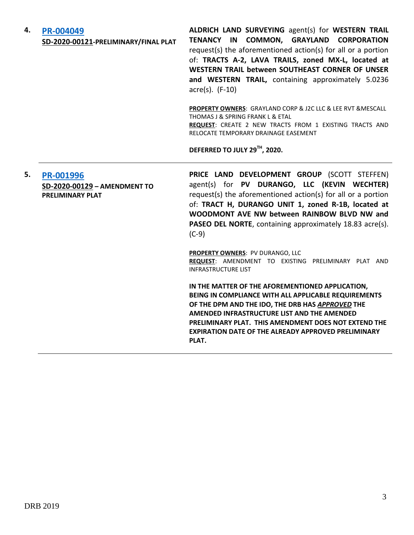| 4. | PR-004049<br>SD-2020-00121-PRELIMINARY/FINAL PLAT                           | ALDRICH LAND SURVEYING agent(s) for WESTERN TRAIL<br>TENANCY IN COMMON, GRAYLAND CORPORATION<br>request(s) the aforementioned action(s) for all or a portion<br>of: TRACTS A-2, LAVA TRAILS, zoned MX-L, located at<br>WESTERN TRAIL between SOUTHEAST CORNER OF UNSER<br>and WESTERN TRAIL, containing approximately 5.0236<br>acre(s). (F-10) |
|----|-----------------------------------------------------------------------------|-------------------------------------------------------------------------------------------------------------------------------------------------------------------------------------------------------------------------------------------------------------------------------------------------------------------------------------------------|
|    |                                                                             | <b>PROPERTY OWNERS:</b> GRAYLAND CORP & J2C LLC & LEE RVT & MESCALL<br>THOMAS J & SPRING FRANK L & ETAL<br>REQUEST: CREATE 2 NEW TRACTS FROM 1 EXISTING TRACTS AND<br>RELOCATE TEMPORARY DRAINAGE EASEMENT                                                                                                                                      |
|    |                                                                             | DEFERRED TO JULY 29TH, 2020.                                                                                                                                                                                                                                                                                                                    |
| 5. | <b>PR-001996</b><br>SD-2020-00129 - AMENDMENT TO<br><b>PRELIMINARY PLAT</b> | PRICE LAND DEVELOPMENT GROUP (SCOTT STEFFEN)<br>agent(s) for PV DURANGO, LLC (KEVIN WECHTER)<br>request(s) the aforementioned action(s) for all or a portion<br>of: TRACT H, DURANGO UNIT 1, zoned R-1B, located at<br>WOODMONT AVE NW between RAINBOW BLVD NW and<br>PASEO DEL NORTE, containing approximately 18.83 acre(s).<br>$(C-9)$       |
|    |                                                                             | PROPERTY OWNERS: PV DURANGO, LLC<br>REQUEST: AMENDMENT TO EXISTING PRELIMINARY PLAT AND<br><b>INFRASTRUCTURE LIST</b>                                                                                                                                                                                                                           |
|    |                                                                             | IN THE MATTER OF THE AFOREMENTIONED APPLICATION,<br>BEING IN COMPLIANCE WITH ALL APPLICABLE REQUIREMENTS<br>OF THE DPM AND THE IDO, THE DRB HAS APPROVED THE<br>AMENDED INFRASTRUCTURE LIST AND THE AMENDED<br>PRELIMINARY PLAT. THIS AMENDMENT DOES NOT EXTEND THE<br><b>EXPIRATION DATE OF THE ALREADY APPROVED PRELIMINARY</b><br>PLAT.      |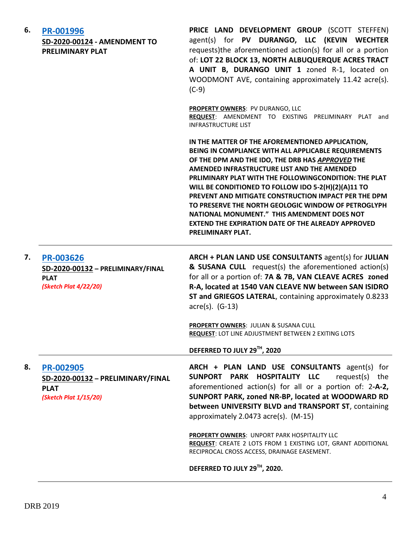| 6. | PR-001996<br>SD-2020-00124 - AMENDMENT TO<br><b>PRELIMINARY PLAT</b>                          | PRICE LAND DEVELOPMENT GROUP (SCOTT STEFFEN)<br>agent(s) for PV DURANGO, LLC (KEVIN WECHTER<br>requests)the aforementioned action(s) for all or a portion<br>of: LOT 22 BLOCK 13, NORTH ALBUQUERQUE ACRES TRACT<br>A UNIT B, DURANGO UNIT 1 zoned R-1, located on<br>WOODMONT AVE, containing approximately 11.42 acre(s).<br>$(C-9)$                                                                                                                                                                                                                                              |
|----|-----------------------------------------------------------------------------------------------|------------------------------------------------------------------------------------------------------------------------------------------------------------------------------------------------------------------------------------------------------------------------------------------------------------------------------------------------------------------------------------------------------------------------------------------------------------------------------------------------------------------------------------------------------------------------------------|
|    |                                                                                               | <b>PROPERTY OWNERS: PV DURANGO, LLC</b><br>REQUEST: AMENDMENT TO EXISTING PRELIMINARY PLAT and<br><b>INFRASTRUCTURE LIST</b>                                                                                                                                                                                                                                                                                                                                                                                                                                                       |
|    |                                                                                               | IN THE MATTER OF THE AFOREMENTIONED APPLICATION,<br>BEING IN COMPLIANCE WITH ALL APPLICABLE REQUIREMENTS<br>OF THE DPM AND THE IDO, THE DRB HAS APPROVED THE<br>AMENDED INFRASTRUCTURE LIST AND THE AMENDED<br>PRLIMINARY PLAT WITH THE FOLLOWINGCONDITION: THE PLAT<br>WILL BE CONDITIONED TO FOLLOW IDO 5-2(H)(2)(A)11 TO<br>PREVENT AND MITIGATE CONSTRUCTION IMPACT PER THE DPM<br>TO PRESERVE THE NORTH GEOLOGIC WINDOW OF PETROGLYPH<br>NATIONAL MONUMENT." THIS AMENDMENT DOES NOT<br><b>EXTEND THE EXPIRATION DATE OF THE ALREADY APPROVED</b><br><b>PRELIMINARY PLAT.</b> |
| 7. | <b>PR-003626</b><br>SD-2020-00132 - PRELIMINARY/FINAL<br><b>PLAT</b><br>(Sketch Plat 4/22/20) | ARCH + PLAN LAND USE CONSULTANTS agent(s) for JULIAN<br>& SUSANA CULL request(s) the aforementioned action(s)<br>for all or a portion of: 7A & 7B, VAN CLEAVE ACRES zoned<br>R-A, located at 1540 VAN CLEAVE NW between SAN ISIDRO<br>ST and GRIEGOS LATERAL, containing approximately 0.8233<br>$\arccos(5)$ . (G-13)                                                                                                                                                                                                                                                             |
|    |                                                                                               | PROPERTY OWNERS: JULIAN & SUSANA CULL<br>REQUEST: LOT LINE ADJUSTMENT BETWEEN 2 EXITING LOTS                                                                                                                                                                                                                                                                                                                                                                                                                                                                                       |
|    |                                                                                               | DEFERRED TO JULY 29TH, 2020                                                                                                                                                                                                                                                                                                                                                                                                                                                                                                                                                        |
| 8. | PR-002905<br>SD-2020-00132 - PRELIMINARY/FINAL<br><b>PLAT</b><br>(Sketch Plat 1/15/20)        | ARCH + PLAN LAND USE CONSULTANTS agent(s) for<br>SUNPORT PARK HOSPITALITY LLC<br>request(s) the<br>aforementioned action(s) for all or a portion of: 2-A-2,<br>SUNPORT PARK, zoned NR-BP, located at WOODWARD RD<br>between UNIVERSITY BLVD and TRANSPORT ST, containing<br>approximately 2.0473 acre(s). (M-15)                                                                                                                                                                                                                                                                   |
|    |                                                                                               | PROPERTY OWNERS: UNPORT PARK HOSPITALITY LLC<br>REQUEST: CREATE 2 LOTS FROM 1 EXISTING LOT, GRANT ADDITIONAL<br>RECIPROCAL CROSS ACCESS, DRAINAGE EASEMENT.                                                                                                                                                                                                                                                                                                                                                                                                                        |
|    |                                                                                               | DEFERRED TO JULY 29TH, 2020.                                                                                                                                                                                                                                                                                                                                                                                                                                                                                                                                                       |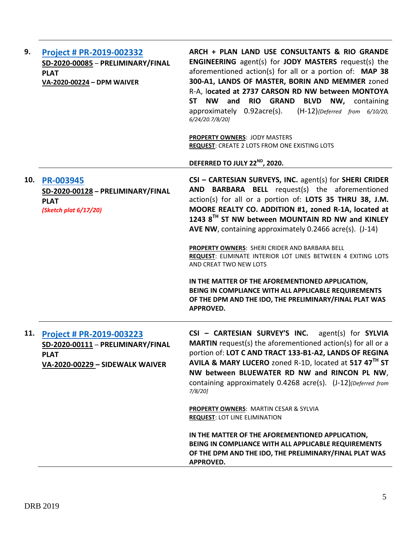| 9.  | <b>Project # PR-2019-002332</b><br>SD-2020-00085 - PRELIMINARY/FINAL<br><b>PLAT</b><br>VA-2020-00224 - DPM WAIVER      | ARCH + PLAN LAND USE CONSULTANTS & RIO GRANDE<br><b>ENGINEERING</b> agent(s) for <b>JODY MASTERS</b> request(s) the<br>aforementioned action(s) for all or a portion of: MAP 38<br>300-A1, LANDS OF MASTER, BORIN AND MEMMER zoned<br>R-A, located at 2737 CARSON RD NW between MONTOYA<br><b>NW</b><br>and<br><b>RIO GRAND</b><br><b>BLVD NW, containing</b><br><b>ST</b><br>approximately 0.92acre(s).<br>$(H-12)$ {Deferred from 6/10/20,<br>6/24/20.7/8/20]<br>PROPERTY OWNERS: JODY MASTERS<br>REQUEST: CREATE 2 LOTS FROM ONE EXISTING LOTS<br>DEFERRED TO JULY 22 <sup>ND</sup> , 2020. |
|-----|------------------------------------------------------------------------------------------------------------------------|------------------------------------------------------------------------------------------------------------------------------------------------------------------------------------------------------------------------------------------------------------------------------------------------------------------------------------------------------------------------------------------------------------------------------------------------------------------------------------------------------------------------------------------------------------------------------------------------|
| 10. | <b>PR-003945</b><br>SD-2020-00128 - PRELIMINARY/FINAL<br><b>PLAT</b><br>(Sketch plat 6/17/20)                          | CSI - CARTESIAN SURVEYS, INC. agent(s) for SHERI CRIDER<br>AND BARBARA BELL request(s) the aforementioned<br>action(s) for all or a portion of: LOTS 35 THRU 38, J.M.<br>MOORE REALTY CO. ADDITION #1, zoned R-1A, located at<br>1243 8 <sup>TH</sup> ST NW between MOUNTAIN RD NW and KINLEY<br>AVE NW, containing approximately 0.2466 acre(s). (J-14)<br>PROPERTY OWNERS: SHERI CRIDER AND BARBARA BELL<br>REQUEST: ELIMINATE INTERIOR LOT LINES BETWEEN 4 EXITING LOTS                                                                                                                     |
|     |                                                                                                                        | AND CREAT TWO NEW LOTS<br>IN THE MATTER OF THE AFOREMENTIONED APPLICATION,<br>BEING IN COMPLIANCE WITH ALL APPLICABLE REQUIREMENTS<br>OF THE DPM AND THE IDO, THE PRELIMINARY/FINAL PLAT WAS<br><b>APPROVED.</b>                                                                                                                                                                                                                                                                                                                                                                               |
| 11. | <b>Project # PR-2019-003223</b><br>SD-2020-00111 - PRELIMINARY/FINAL<br><b>PLAT</b><br>VA-2020-00229 - SIDEWALK WAIVER | CSI - CARTESIAN SURVEY'S INC. agent(s) for SYLVIA<br><b>MARTIN</b> request(s) the aforementioned action(s) for all or a<br>portion of: LOT C AND TRACT 133-B1-A2, LANDS OF REGINA<br>AVILA & MARY LUCERO zoned R-1D, located at 517 47 <sup>TH</sup> ST<br>NW between BLUEWATER RD NW and RINCON PL NW,<br>containing approximately 0.4268 acre(s). (J-12) [Deferred from<br>$7/8/20$ ]                                                                                                                                                                                                        |
|     |                                                                                                                        | <b>PROPERTY OWNERS: MARTIN CESAR &amp; SYLVIA</b><br><b>REQUEST: LOT LINE ELIMINATION</b><br>IN THE MATTER OF THE AFOREMENTIONED APPLICATION,<br>BEING IN COMPLIANCE WITH ALL APPLICABLE REQUIREMENTS<br>OF THE DPM AND THE IDO, THE PRELIMINARY/FINAL PLAT WAS<br><b>APPROVED.</b>                                                                                                                                                                                                                                                                                                            |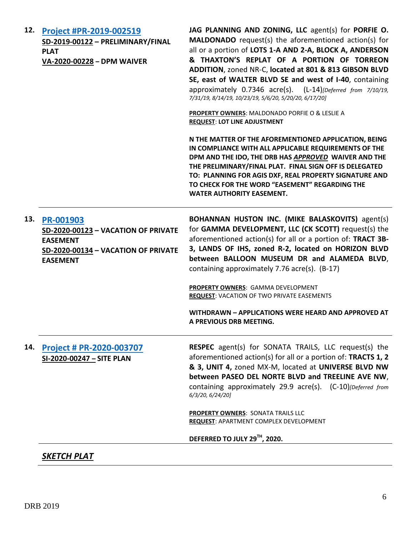| 12. | Project #PR-2019-002519<br>SD-2019-00122 - PRELIMINARY/FINAL<br><b>PLAT</b><br>VA-2020-00228 - DPM WAIVER                     | JAG PLANNING AND ZONING, LLC agent(s) for PORFIE O.<br><b>MALDONADO</b> request(s) the aforementioned action(s) for<br>all or a portion of LOTS 1-A AND 2-A, BLOCK A, ANDERSON<br>& THAXTON'S REPLAT OF A PORTION OF TORREON<br>ADDITION, zoned NR-C, located at 801 & 813 GIBSON BLVD<br>SE, east of WALTER BLVD SE and west of I-40, containing<br>approximately 0.7346 acre(s). (L-14) [Deferred from 7/10/19,<br>7/31/19, 8/14/19, 10/23/19, 5/6/20, 5/20/20, 6/17/20]<br>PROPERTY OWNERS: MALDONADO PORFIE O & LESLIE A<br><b>REQUEST: LOT LINE ADJUSTMENT</b><br>N THE MATTER OF THE AFOREMENTIONED APPLICATION, BEING<br>IN COMPLIANCE WITH ALL APPLICABLE REQUIREMENTS OF THE<br>DPM AND THE IDO, THE DRB HAS APPROVED WAIVER AND THE<br>THE PRELIMINARY/FINAL PLAT. FINAL SIGN OFF IS DELEGATED<br>TO: PLANNING FOR AGIS DXF, REAL PROPERTY SIGNATURE AND<br>TO CHECK FOR THE WORD "EASEMENT" REGARDING THE<br><b>WATER AUTHORITY EASEMENT.</b> |
|-----|-------------------------------------------------------------------------------------------------------------------------------|----------------------------------------------------------------------------------------------------------------------------------------------------------------------------------------------------------------------------------------------------------------------------------------------------------------------------------------------------------------------------------------------------------------------------------------------------------------------------------------------------------------------------------------------------------------------------------------------------------------------------------------------------------------------------------------------------------------------------------------------------------------------------------------------------------------------------------------------------------------------------------------------------------------------------------------------------------|
| 13. | PR-001903<br>SD-2020-00123 - VACATION OF PRIVATE<br><b>EASEMENT</b><br>SD-2020-00134 - VACATION OF PRIVATE<br><b>EASEMENT</b> | BOHANNAN HUSTON INC. (MIKE BALASKOVITS) agent(s)<br>for GAMMA DEVELOPMENT, LLC (CK SCOTT) request(s) the<br>aforementioned action(s) for all or a portion of: TRACT 3B-<br>3, LANDS OF IHS, zoned R-2, located on HORIZON BLVD<br>between BALLOON MUSEUM DR and ALAMEDA BLVD,<br>containing approximately 7.76 acre(s). (B-17)<br>PROPERTY OWNERS: GAMMA DEVELOPMENT<br><b>REQUEST: VACATION OF TWO PRIVATE EASEMENTS</b><br>WITHDRAWN - APPLICATIONS WERE HEARD AND APPROVED AT<br>A PREVIOUS DRB MEETING.                                                                                                                                                                                                                                                                                                                                                                                                                                              |
| 14. | Project # PR-2020-003707<br>SI-2020-00247 - SITE PLAN                                                                         | <b>RESPEC</b> agent(s) for SONATA TRAILS, LLC request(s) the<br>aforementioned action(s) for all or a portion of: TRACTS 1, 2<br>& 3, UNIT 4, zoned MX-M, located at UNIVERSE BLVD NW<br>between PASEO DEL NORTE BLVD and TREELINE AVE NW,<br>containing approximately 29.9 acre(s). (C-10)[Deferred from<br>6/3/20, 6/24/20]<br><b>PROPERTY OWNERS: SONATA TRAILS LLC</b><br><b>REQUEST: APARTMENT COMPLEX DEVELOPMENT</b><br>DEFERRED TO JULY 29TH, 2020.                                                                                                                                                                                                                                                                                                                                                                                                                                                                                              |

*SKETCH PLAT*